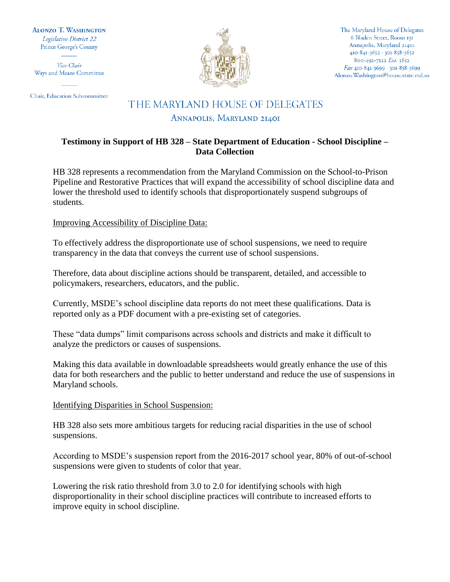**ALONZO T. WASHINGTON** Legislative District 22 Prince George's County

Vice Chair Ways and Means Committee

Chair, Education Subcommittee



The Maryland House of Delegates 6 Bladen Street, Room 131 Annapolis, Maryland 21401 410-841-3652 · 301-858-3652 800-492-7122 Ext. 3652 Fax 410-841-3699 · 301-858-3699 Alonzo. Washington@house.state.md.us

# THE MARYLAND HOUSE OF DELEGATES

### ANNAPOLIS, MARYLAND 21401

## **Testimony in Support of HB 328 – State Department of Education - School Discipline – Data Collection**

HB 328 represents a recommendation from the Maryland Commission on the School-to-Prison Pipeline and Restorative Practices that will expand the accessibility of school discipline data and lower the threshold used to identify schools that disproportionately suspend subgroups of students.

### Improving Accessibility of Discipline Data:

To effectively address the disproportionate use of school suspensions, we need to require transparency in the data that conveys the current use of school suspensions.

Therefore, data about discipline actions should be transparent, detailed, and accessible to policymakers, researchers, educators, and the public.

Currently, MSDE's school discipline data reports do not meet these qualifications. Data is reported only as a PDF document with a pre-existing set of categories.

These "data dumps" limit comparisons across schools and districts and make it difficult to analyze the predictors or causes of suspensions.

Making this data available in downloadable spreadsheets would greatly enhance the use of this data for both researchers and the public to better understand and reduce the use of suspensions in Maryland schools.

#### Identifying Disparities in School Suspension:

HB 328 also sets more ambitious targets for reducing racial disparities in the use of school suspensions.

According to MSDE's suspension report from the 2016-2017 school year, 80% of out-of-school suspensions were given to students of color that year.

Lowering the risk ratio threshold from 3.0 to 2.0 for identifying schools with high disproportionality in their school discipline practices will contribute to increased efforts to improve equity in school discipline.